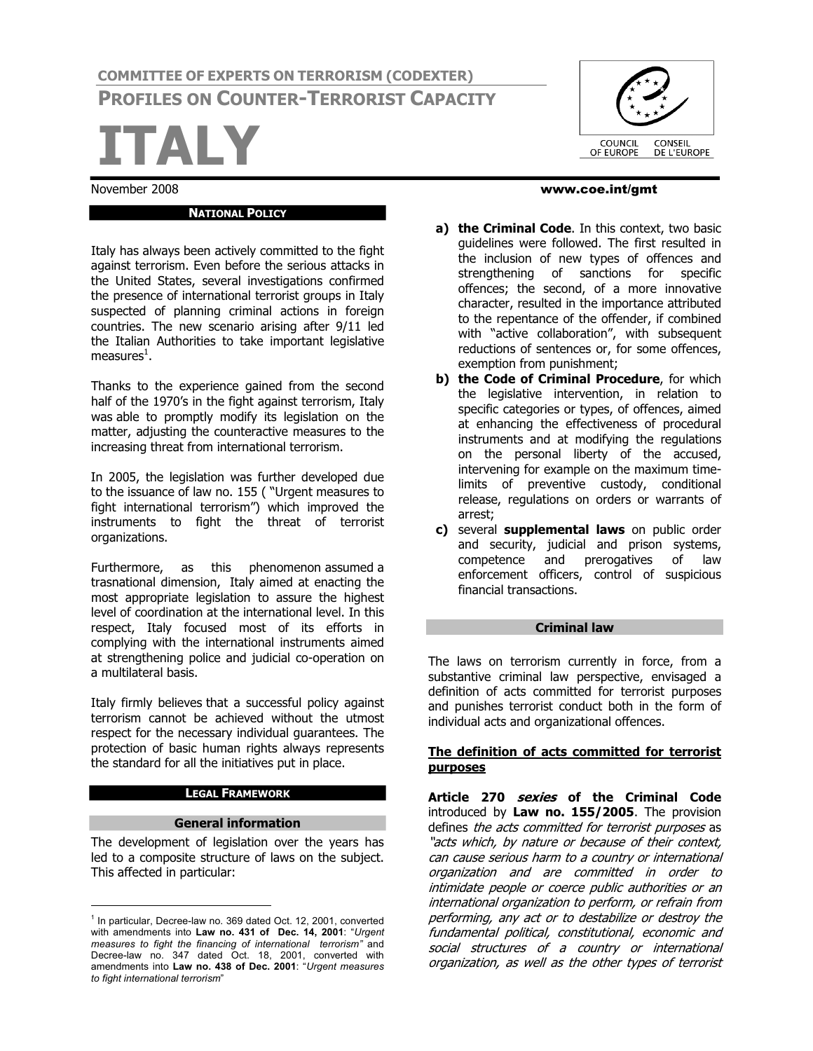**COMMITTEE OF EXPERTS ON TERRORISM (CODEXTER) PROFILES ON COUNTER-TERRORIST CAPACITY**

**ITALY**

#### **NATIONAL POLICY**

Italy has always been actively committed to the fight against terrorism. Even before the serious attacks in the United States, several investigations confirmed the presence of international terrorist groups in Italy suspected of planning criminal actions in foreign countries. The new scenario arising after 9/11 led the Italian Authorities to take important legislative measures $^{\rm 1}$ .

Thanks to the experience gained from the second half of the 1970's in the fight against terrorism, Italy was able to promptly modify its legislation on the matter, adjusting the counteractive measures to the increasing threat from international terrorism.

In 2005, the legislation was further developed due to the issuance of law no. 155 ( "Urgent measures to fight international terrorism") which improved the instruments to fight the threat of terrorist organizations.

Furthermore, as this phenomenon assumed a trasnational dimension, Italy aimed at enacting the most appropriate legislation to assure the highest level of coordination at the international level. In this respect, Italy focused most of its efforts in complying with the international instruments aimed at strengthening police and judicial co-operation on a multilateral basis.

Italy firmly believes that a successful policy against terrorism cannot be achieved without the utmost respect for the necessary individual guarantees. The protection of basic human rights always represents the standard for all the initiatives put in place.

#### **LEGAL FRAMEWORK**

#### **General information**

The development of legislation over the years has led to a composite structure of laws on the subject. This affected in particular:

COUNCIL<br>OF EUROPE CONSEIL<br>DE L'EUROPE

#### November 2008 www.coe.int/gmt

- **a) the Criminal Code**. In this context, two basic guidelines were followed. The first resulted in the inclusion of new types of offences and strengthening of sanctions for specific offences; the second, of a more innovative character, resulted in the importance attributed to the repentance of the offender, if combined with "active collaboration", with subsequent reductions of sentences or, for some offences, exemption from punishment;
- **b) the Code of Criminal Procedure**, for which the legislative intervention, in relation to specific categories or types, of offences, aimed at enhancing the effectiveness of procedural instruments and at modifying the regulations on the personal liberty of the accused, intervening for example on the maximum timelimits of preventive custody, conditional release, regulations on orders or warrants of arrest;
- **c)** several **supplemental laws** on public order and security, judicial and prison systems, competence and prerogatives of law enforcement officers, control of suspicious financial transactions.

#### **Criminal law**

The laws on terrorism currently in force, from a substantive criminal law perspective, envisaged a definition of acts committed for terrorist purposes and punishes terrorist conduct both in the form of individual acts and organizational offences.

#### **The definition of acts committed for terrorist purposes**

**Article <sup>270</sup> sexies of the Criminal Code** introduced by **Law no. 155/2005**. The provision **Article 270 sexies of the Criminal Code**<br>introduced by **Law no. 155/2005**. The provision<br>defines *the acts committed for terrorist purposes* as<br>"*acts which, by nature or because of their context,*<br>context, and context, a defines *the acts committed for terrorist purposes* as<br>"*acts which, by nature or because of their context,<br>can cause serious harm to a country or international*<br>arganization, and are committed in arder to can cause serious harm to a country or international<br>organization and are committed in order to can cause serious harm to a country or international<br>organization and are committed in order to<br>intimidate people or coerce public authorities or an<br>international erganization to perform or refrain-from organization and are committed in order to<br>intimidate-people-or-coerce-public-authorities-or-an<br>international-organization-to-perform, or-refrain-from<br>performing-any-act-or-to-destabilize-or-destrey-theinternational organization to perform, or refrain from<br>performing, any act or to destabilize or destroy the international organization to perform, or refrain from<br>performing, any act or to destabilize or destroy the<br>fundamental political, constitutional, economic and<br>sosial, structures, of a sountry or international performing, any act or to destabilize or destroy the<br>fundamental political, constitutional, economic and<br>social structures of a country or international<br>exangiation as well as the other tunes of terrerist social structures of a country or international<br>organization, as well as the other types of terrorist

<sup>&</sup>lt;sup>1</sup> In particular, Decree-law no. 369 dated Oct. 12, 2001, converted with amendments into **Law no. 431 of Dec. 14, 2001**: "*Urgent measures to fight the financing of international terrorism"* and Decree-law no. 347 dated Oct. 18, 2001, converted with amendments into **Law no. 438 of Dec. 2001**: "*Urgent measures to fight international terrorism*"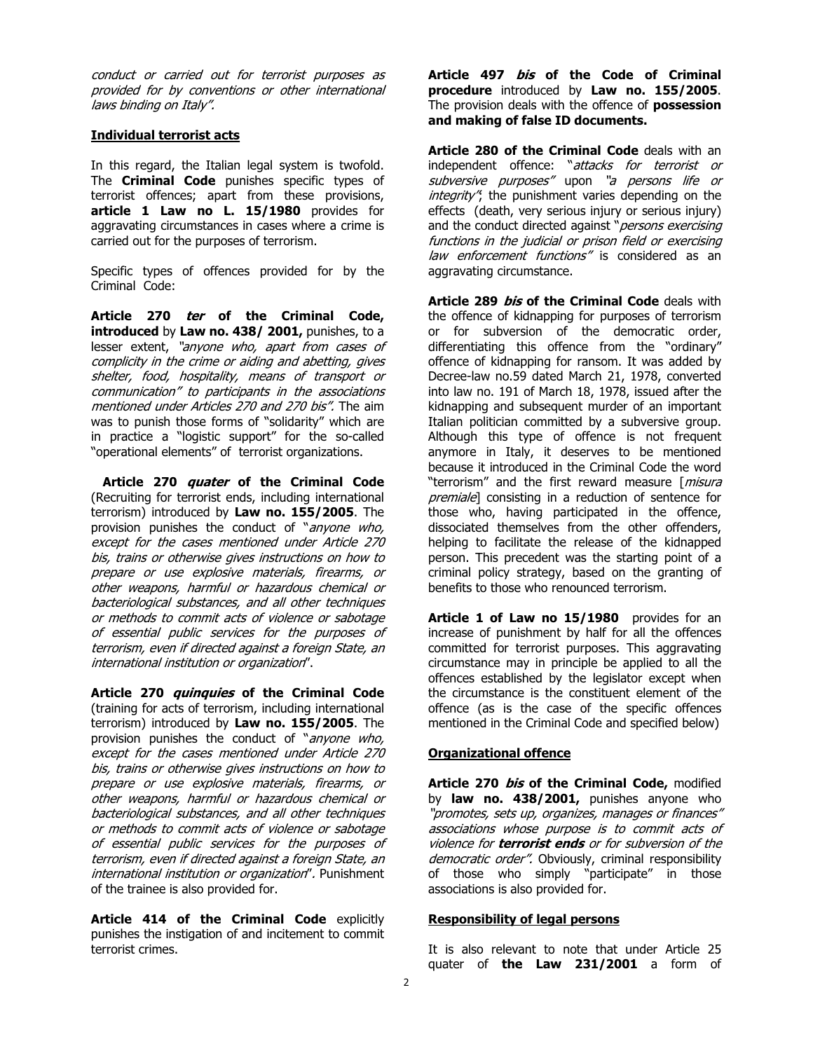conduct or carried out for terrorist purposes as conduct or carried out for terrorist purposes as<br>provided for by conventions or other international conduct or carried out f<br>provided for by conventio<br>laws binding on Italy".

## **Individual terrorist acts**

In this regard, the Italian legal system is twofold. The **Criminal Code** punishes specific types of terrorist offences; apart from these provisions, **article 1 Law no L. 15/1980** provides for aggravating circumstances in cases where a crime is carried out for the purposes of terrorism.

Specific types of offences provided for by the Criminal Code:

**Article <sup>270</sup> ter of the Criminal Code, introduced** by **Law no. 438/ 2001,** punishes, to a **Article 270** *ter* **of the Criminal Code,<br>introduced** by **Law no. 438/ 2001,** punishes, to a<br>lesser extent, "*anyone who, apart from cases of*<br>complicity in the crime or aiding and abotting gives **introduced** by **Law no. 438/ 2001,** punishes, to a<br>lesser extent, "*anyone who, apart from cases of*<br>*complicity in the crime or aiding and abetting, gives*<br>shelter, food, bespitality, means of transport or lesser extent, "anyone who, apart from cases of<br>complicity in the crime or aiding and abetting, gives<br>shelter, food, hospitality, means of transport or<br>communication" to participants in the associations shelter, food, hospitality, means of transport or<br>communication" to participants in the associations mentioned under Articles 270 and 270 bis". The aim was to punish those forms of "solidarity" which are in practice a "logistic support" for the so-called "operational elements" of terrorist organizations.

**Article <sup>270</sup> quater of the Criminal Code** (Recruiting for terrorist ends, including international terrorism) introduced by **Law no. 155/2005**. The (Recruiting for terrorist ends, including international<br>terrorism) introduced by **Law no. 155/2005**. The<br>provision punishes the conduct of "*anyone who,*<br>avent for the cases mantioned under Article 270 provision punishes the conduct of "anyone who,<br>except for the cases mentioned under Article 270<br>bis, trains or otherwise gives instructions on how to except for the cases mentioned under Article 270 except for the cases mentioned under Article 270<br>bis, trains or otherwise gives instructions on how to<br>prepare or use explosive materials, firearms, or<br>other weapons, barmful or hazardous shomical or bis, trains or otherwise gives instructions on how to<br>prepare or use explosive materials, firearms, or<br>other weapons, harmful or hazardous chemical or<br>bacterialegical substances, and all other techniques other weapons, harmful or hazardous chemical or bacteriological substances, and all other techniques or methods to commit acts of violence or sabotage of essential public services for the purposes of<br>terrorism, even if directed against a foreign State, an<br>international institution or organization''. terrorism, even if directed against a foreign State, an

**Article <sup>270</sup> quinquies of the Criminal Code** (training for acts of terrorism, including international terrorism) introduced by **Law no. 155/2005**. The (training for acts of terrorism, including international<br>terrorism) introduced by **Law no. 155/2005**. The<br>provision punishes the conduct of "*anyone who,*<br>avent for the cases mantioned under Article 270 provision punishes the conduct of "anyone who, except for the cases mentioned under Article 270 provision punishes the conduct of "*anyone who,*<br>except for the cases mentioned under Article 270<br>bis, trains or otherwise gives instructions on how to<br>pregage or use explosive materials, firearms, or except for the cases mentioned under Article 270<br>bis, trains or otherwise gives instructions on how to<br>prepare or use explosive materials, firearms, or<br>other weapons, barmful or hazardous shomical or prepare or use explosive materials, firearms, or<br>other weapons, harmful or hazardous chemical or prepare or use explosive materials, firearms, or<br>other weapons, harmful or hazardous chemical or<br>bacteriological substances, and all other techniques<br>er methods to commit acts of violonse er sabetase other weapons, harmful or hazardous chemical or<br>bacteriological substances, and all other techniques<br>or methods to commit acts of violence or sabotage<br>of essential public servises for the nurnesse of or methods to commit acts of violence or sabotage<br>of essential public services for the purposes of<br>terrorism, even if directed against a foreign State, an of essential public services for the purposes of of essential public services for the purposes of<br>terrorism, even if directed against a foreign State, an<br>international institution or organization". Punishment<br>of the trainee is also provided for of the trainee is also provided for.

**Article 414 of the Criminal Code** explicitly punishes the instigation of and incitement to commit terrorist crimes.

**Article <sup>497</sup> bis of the Code of Criminal procedure** introduced by **Law no. 155/2005**. The provision deals with the offence of **possession and making of false ID documents.**

**Article 280 of the Criminal Code** deals with an independent offence: "attacks for terrorist or **Article 280 of the Criminal Code** deals with an<br>independent offence: "*attacks for terrorist or*<br>*subversive purposes"* upon "*a persons life or*<br>integrity" the nunishment varies depending on the ndependent offence: "*attacks for terrorist or*<br>*subversive purposes"* upon "*a persons life or*<br>*integrity"*, the punishment varies depending on the<br>offects (doath vary serious injury or serious injury) effects (death, very serious injury or serious injury) integrity", the punishment varies depending on the<br>effects (death, very serious injury or serious injury)<br>and the conduct directed against "*persons exercising*<br>functions in the judicial or pricen field or exercising effects (death, very serious injury or serious injury)<br>and the conduct directed against "*persons exercising<br>functions in the judicial or prison field or exercising*<br>law, enfercement, functions" is considered as an functions in the judicial or prison field or exercising<br>law enforcement functions" is considered as an aggravating circumstance.

**Article <sup>289</sup> bis of the Criminal Code** deals with the offence of kidnapping for purposes of terrorism or for subversion of the democratic order, differentiating this offence from the "ordinary" offence of kidnapping for ransom. It was added by Decree-law no.59 dated March 21, 1978, converted into law no. 191 of March 18, 1978, issued after the kidnapping and subsequent murder of an important Italian politician committed by a subversive group. Although this type of offence is not frequent anymore in Italy, it deserves to be mentioned because it introduced in the Criminal Code the word anymore in Italy, it deserves to be mentioned<br>because it introduced in the Criminal Code-the word<br>"terrorism" and the first reward measure [*misura* because it introduced in the Criminal Code the word<br>"terrorism" and the first reward measure [*misura*<br>*premiale*] consisting in a reduction of sentence for<br>these who shaving participated in the offense those who, having participated in the offence, dissociated themselves from the other offenders, helping to facilitate the release of the kidnapped person. This precedent was the starting point of a criminal policy strategy, based on the granting of benefits to those who renounced terrorism.

**Article 1 of Law no 15/1980** provides for an increase of punishment by half for all the offences committed for terrorist purposes. This aggravating circumstance may in principle be applied to all the offences established by the legislator except when the circumstance is the constituent element of the offence (as is the case of the specific offences mentioned in the Criminal Code and specified below)

### **Organizational offence**

**Article <sup>270</sup> bis of the Criminal Code,** modified by **law no. 438/2001,** punishes anyone who **Article 270** *bis* **of the Criminal Code,** modified<br>by **law no. 438/2001,** punishes anyone who<br>promotes, sets up, organizes, manages or finances"<br>preceptitions whose nurpose is to commit acts of by **law no. 438/2001,** punishes anyone who<br>"promotes, sets up, organizes, manages or finances"<br>associations whose purpose is to commit acts of<br>violance for **terrariet ands** or for subversion of the associations whose purpose is to commit acts of violence for **terrorist ends** or for subversion of the democratic order". Obviously, criminal responsibility of those who simply "participate" in those associations is also provided for.

### **Responsibility of legal persons**

It is also relevant to note that under Article 25 quater of **the Law 231/2001** a form of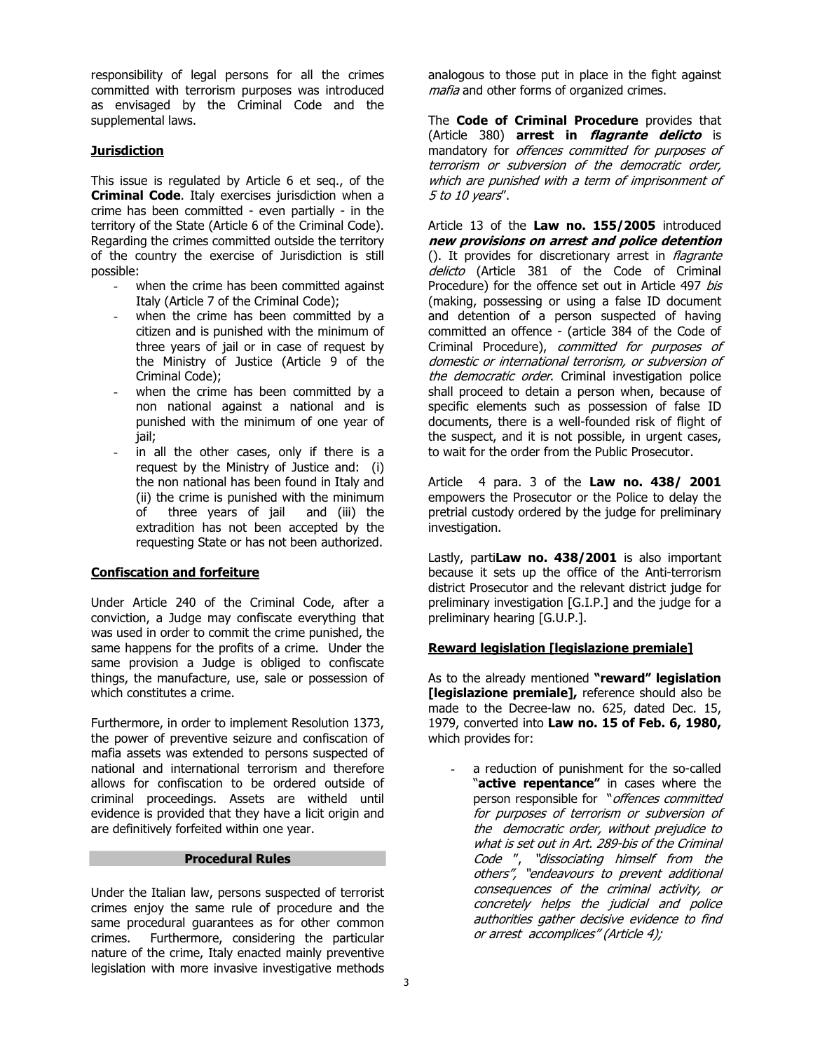responsibility of legal persons for all the crimes committed with terrorism purposes was introduced as envisaged by the Criminal Code and the supplemental laws.

# **Jurisdiction**

This issue is regulated by Article 6 et seq., of the **Criminal Code**. Italy exercises jurisdiction when a crime has been committed - even partially - in the territory of the State (Article 6 of the Criminal Code). Regarding the crimes committed outside the territory of the country the exercise of Jurisdiction is still possible:

- when the crime has been committed against Italy (Article 7 of the Criminal Code);
- when the crime has been committed by a citizen and is punished with the minimum of three years of jail or in case of request by the Ministry of Justice (Article 9 of the Criminal Code);
- when the crime has been committed by a non national against a national and is punished with the minimum of one year of jail;
- in all the other cases, only if there is a request by the Ministry of Justice and: (i) the non national has been found in Italy and (ii) the crime is punished with the minimum of three years of jail and (iii) the extradition has not been accepted by the requesting State or has not been authorized.

### **Confiscation and forfeiture**

Under Article 240 of the Criminal Code, after a conviction, a Judge may confiscate everything that was used in order to commit the crime punished, the same happens for the profits of a crime. Under the same provision a Judge is obliged to confiscate things, the manufacture, use, sale or possession of which constitutes a crime.

Furthermore, in order to implement Resolution 1373, the power of preventive seizure and confiscation of mafia assets was extended to persons suspected of national and international terrorism and therefore allows for confiscation to be ordered outside of criminal proceedings. Assets are witheld until evidence is provided that they have a licit origin and are definitively forfeited within one year.

#### **Procedural Rules**

Under the Italian law, persons suspected of terrorist crimes enjoy the same rule of procedure and the same procedural guarantees as for other common crimes. Furthermore, considering the particular nature of the crime, Italy enacted mainly preventive legislation with more invasive investigative methods

analogous to those put in place in the fight against analogous to those put in place in the figl<br>m*afia* and other forms of organized crimes.

The **Code of Criminal Procedure** provides that The **Code of Criminal Procedure** provides that<br>(Article 380) **arrest in** *flagrante delicto* is<br>mandatory for *offences committed for purposes of* (Article 380) **arrest in** *flagrante delicto* is<br>mandatory for *offences committed for purposes of*<br>*terrorism or subversion of the democratic order.* mandatory for *offences committed for purposes of*<br>*terrorism or subversion of the democratic order,<br>which are punished with a term of imprisonment of*<br>5 to 10 yazr<sup>ay</sup> terrorism or sub<br>which are punish<br>5 to 10 years".

Article <sup>13</sup> of the **Law no. 155/2005** introduced **new provisions on arrest and police detention** Article 13 of the **Law no. 155/2005** introduced<br> **new provisions on arrest and police detention**<br>
(). It provides for discretionary arrest in *flagrante*<br>
deligte (Article 281 of the Code of Criminal (). It provides for discretionary arrest in *flagrante delicto* (Article 381 of the Code of Criminal Procedure) for the offence set out in Article 497 bis (making, possessing or using a false ID document and detention of a person suspected of having committed an offence - (article 384 of the Code of and detention of a person suspected of having<br>committed an offence - (article 384 of the Code of<br>Criminal Procedure), *committed for purposes of*<br>demostic or international terrerism or subversion of Criminal Procedure), committed for purposes of domestic or international terrorism, or subversion of the democratic order. Criminal investigation police shall proceed to detain a person when, because of specific elements such as possession of false ID documents, there is a well-founded risk of flight of the suspect, and it is not possible, in urgent cases, to wait for the order from the Public Prosecutor.

Article 4 para. 3 of the **Law no. 438/ 2001** empowers the Prosecutor or the Police to delay the pretrial custody ordered by the judge for preliminary investigation.

Lastly, parti**Law no. 438/2001** is also important because it sets up the office of the Anti-terrorism district Prosecutor and the relevant district judge for preliminary investigation [G.I.P.] and the judge for a preliminary hearing [G.U.P.].

### **Reward legislation [legislazione premiale]**

As to the already mentioned **"reward" legislation [legislazione premiale],** reference should also be made to the Decree-law no. 625, dated Dec. 15, 1979, converted into **Law no. 15 of Feb. 6, 1980,** which provides for:

a reduction of punishment for the so-called "**active repentance"** in cases where the a reduction of punishment for the so-called<br>"**active repentance"** in cases where the<br>person responsible for "*offences committed* **"active repentance"** in cases where the<br>person responsible for "*offences committed*<br>for *purposes of terrorism or subversion of*<br>the democratic erder without projudice to for purposes of terrorism or subversion of<br>the democratic order, without prejudice to<br>what is set out in Art. 289-bis of the Criminal the democratic order, without prejudice to the democratic order, without prejudice to<br>what is set out in Art. 289-bis of the Criminal<br>Code ", "dissociating himself from the<br>othere", "endeavours to provent additional what is set out in Art. 289-bis of the Criminal<br>Code ", "dissociating himself from the<br>others", "endeavours to prevent additional<br>consequences of the criminal activity or others", "endeavours to prevent additional<br>consequences of the criminal activity, or others", "endeavours to prevent additional<br>consequences of the criminal activity, or<br>concretely helps the judicial and police<br>authorities aathor desisive evidence to find consequences of the criminal activity, or<br>concretely helps the judicial and police<br>authorities gather decisive evidence to find<br>er-arrect accomplices" (Article 4) authorities gather decisive evidence to find<br>or arrest accomplices" (Article 4);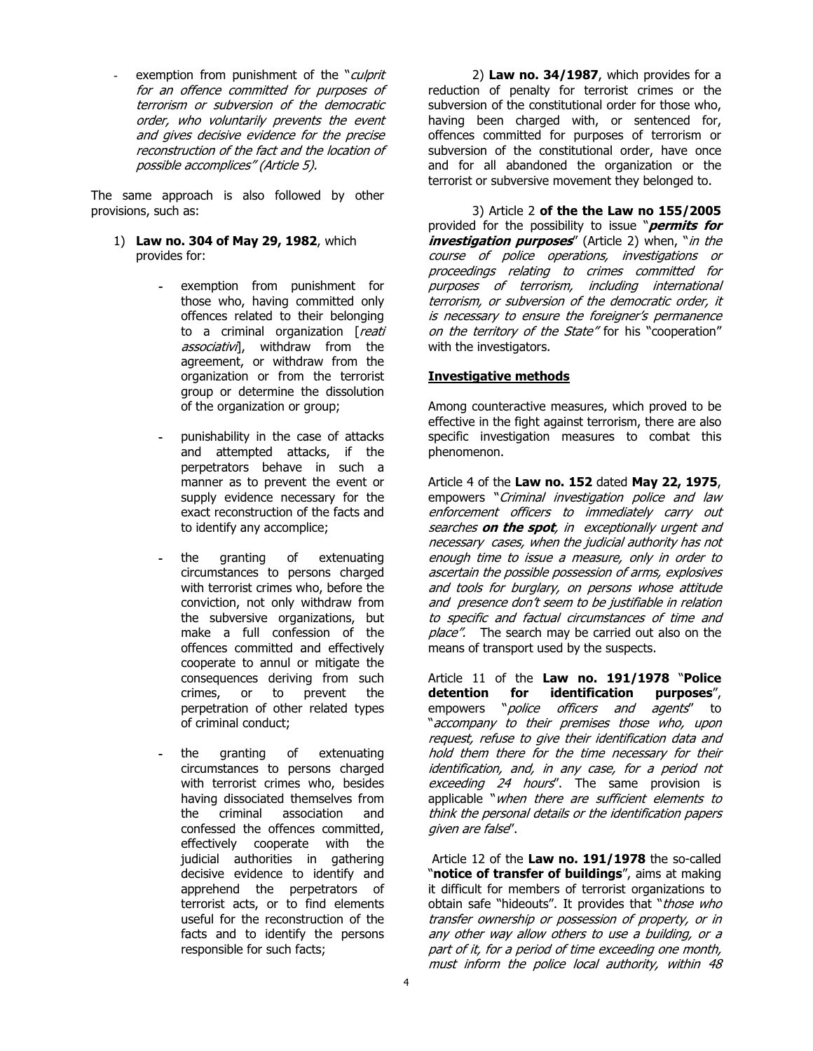exemption from punishment of the "*culprit*<br>for an affance committed for nurneces of exemption from punishment of the "*culprit*<br>for an offence committed for purposes of<br>terrerism ar subversion of the democratic for an offence committed for purposes of<br>terrorism or subversion of the democratic for an offence committed for purposes of<br>terrorism or subversion of the democratic<br>order, who voluntarily prevents the event<br>and gives desigive avidence for the presise terrorism or subversion of the democratic<br>order, who voluntarily prevents the event<br>and gives decisive evidence for the precise<br>reconstruction of the fact and the leation of and gives decisive evidence for the precise<br>reconstruction of the fact and the location of possible accomplices" (Article 5).

The same approach is also followed by other provisions, such as:

- 1) **Law no. 304 of May 29, 1982**, which provides for:
	- **-** exemption from punishment for those who, having committed only offences related to their belonging those who, having committed only<br>offences related to their belonging<br>to a criminal organization [*reati* offences related to their belonging<br>to a criminal organization [*reat.*<br>*associativi*], withdraw from the agreement, or withdraw from the organization or from the terrorist group or determine the dissolution of the organization or group;
	- **-** punishability in the case of attacks and attempted attacks, if the perpetrators behave in such a manner as to prevent the event or supply evidence necessary for the exact reconstruction of the facts and to identify any accomplice;
	- **-** the granting of extenuating circumstances to persons charged with terrorist crimes who, before the conviction, not only withdraw from the subversive organizations, but make a full confession of the offences committed and effectively cooperate to annul or mitigate the consequences deriving from such crimes, or to prevent the perpetration of other related types of criminal conduct;
	- **-** the granting of extenuating circumstances to persons charged with terrorist crimes who, besides having dissociated themselves from the criminal association and confessed the offences committed, effectively cooperate with the judicial authorities in gathering decisive evidence to identify and apprehend the perpetrators of terrorist acts, or to find elements useful for the reconstruction of the facts and to identify the persons responsible for such facts;

2) **Law no. 34/1987**, which provides for a reduction of penalty for terrorist crimes or the subversion of the constitutional order for those who, having been charged with, or sentenced for, offences committed for purposes of terrorism or subversion of the constitutional order, have once and for all abandoned the organization or the terrorist or subversive movement they belonged to.

3) Article 2 **of the the Law no 155/2005** 3) Article 2 **of the the Law no 155/2005**<br>provided for the possibility to issue "*permits for* 3) Article 2 **of the the Law no 155/2005**<br>provided for the possibility to issue "*permits for*<br>**investigation purposes**" (Article 2) when, "*in the* **investigation purposes**" (Article 2) when, "*in the course of police operations, investigations or proceedings relating to crimes committed for* course of police operations, investigations or purposes of terrorism, including international proceedings relating to crimes committed for<br>purposes of terrorism, including international<br>terrorism, or-subversion-of-the-democratic-order, it<br>subversion of the-democratic-order, it purposes of terrorism, including international<br>terrorism, or-subversion-of-the-democratic-order, it<br>is necessary to ensure the-foreigner's-permanence<br>on the-territory of the-State'' for his "cooporation" is necessary to ensure the foreigner's permanence<br>on the territory of the State" for his "cooperation"<br>with the investigators.

### **Investigative methods**

Among counteractive measures, which proved to be effective in the fight against terrorism, there are also specific investigation measures to combat this phenomenon.

Article 4 of the **Law no. 152** dated **May 22, 1975**, Article 4 of the **Law no. 152** dated **May 22, 1975**,<br>empowers "Criminal investigation police and law<br>enforcement officers to immodiately carry out empowers "Criminal investigation police and law<br>enforcement officers to immediately carry out empowers *``Criminal investigation police and law*<br>*enforcement officers to immediately carry out<br>searches on the spot, in exceptionally urgent and<br>pecessary sases when the judicial authority has not* enforcement officers to immediately carry out<br>searches **on the spot**, in exceptionally urgent and<br>necessary cases, when the judicial authority has not<br>anough time to iccuo a maasure, only in erder to necessary cases, when the judicial authority has not<br>enough time to issue a measure, only in order to necessary cases, when the judicial authority has not<br>enough time to issue a measure, only in order to<br>ascertain the possible possession of arms, explosives<br>and tools for burglary on porcons whose attitude enough time to issue a measure, only in order to<br>ascertain the possible possession of arms, explosives<br>and tools for burglary, on persons whose attitude<br>and presence den't seem to be justifiable in relation and tools for burglary, on persons whose attitude<br>and presence don't seem to be justifiable in relation and tools for burglary, on persons whose attitude<br>and presence don't seem to be justifiable in relation<br>to specific and factual circumstances of time and<br>place". The search may be sarried aut also an the and presence don't seem to be justifiable in relation<br>to specific and factual circumstances of time and<br>place". The search may be carried out also on the means of transport used by the suspects.

Article 11 of the **Law no. 191/1978** "**Police detention for identification purposes**", Article 11 of the **Law no. 191/1978 "Police<br><b>detention for identification purposes",**<br>empowers "*police officers and agents"* to **detention for identification purposes",**<br>empowers "*police officers and agents*" to<br>"*accompany to their premises those who, upon*<br>request refuse to give their identification data and empowers "*police officers and agents"* to<br>'*accompany to their premises those who, upon<br>request, refuse to give their identification data and<br>hold them there for the time necessary for their* accompany to their premises those who, upon<br>request, refuse to give their identification data and<br>hold them there for the time necessary for their<br>identification, and in any sase for a neried net hold them there for the time necessary for their<br>identification, and, in any case, for a period not exceeding 24 hours". The same provision is applicable "when there are sufficient elements to<br>think the personal details or the identification papers<br>given are false". think the personal details or the identification papers

Article 12 of the **Law no. 191/1978** the so-called "**notice of transfer of buildings**", aims at making it difficult for members of terrorist organizations to "**notice of transfer of buildings**", aims at making<br>it difficult for members of terrorist organizations to<br>obtain safe "hideouts". It provides that "*those who* it difficult for members of terrorist organizations to<br>obtain safe "hideouts". It provides that "*those who*<br>*transfer ownership or possession of property, or in*<br>any other way allow others to use a hydding or a transfer ownership or possession of property, or in<br>any other way allow others to use a building, or a<br>part of it, for a period of time exceeding one month, any other way allow others to use a building, or a must inform the police local authority, within 48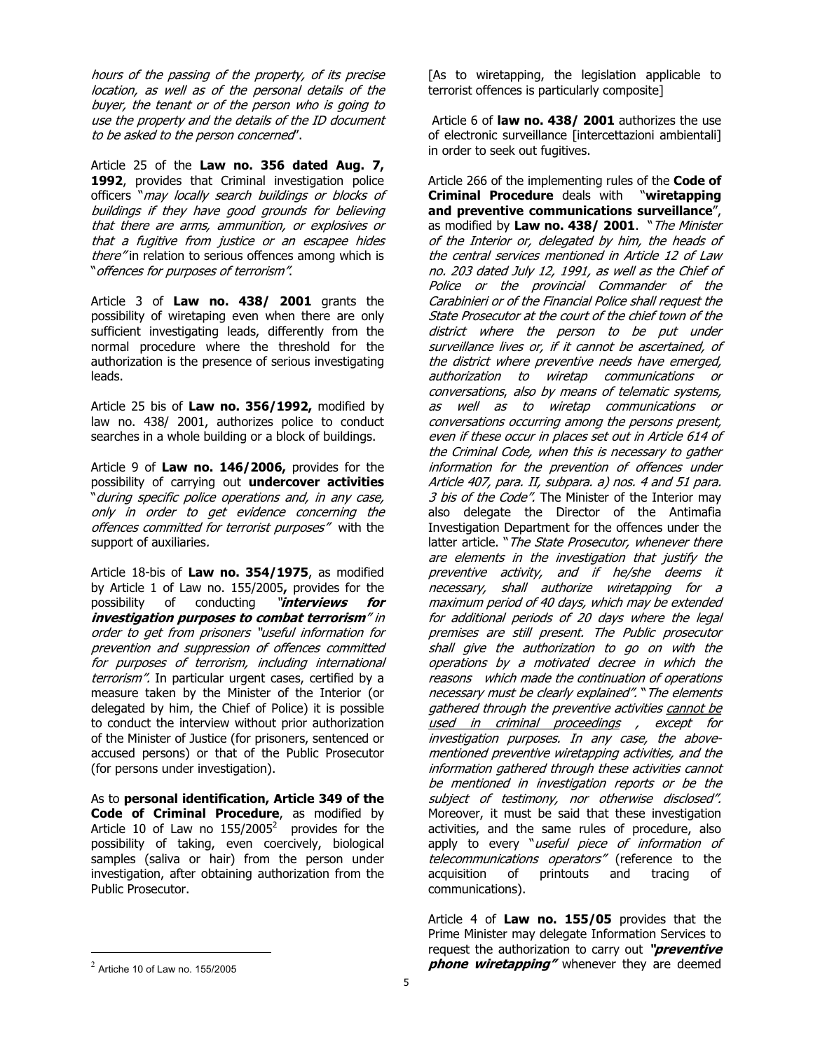hours of the passing of the property, of its precise hours of the passing of the property, of its precise<br>location, as well as of the personal details of the<br>buyer, the tenant or of the person who is going to hours of the passing of the property, of its precise<br>location, as well as of the personal details of the<br>buyer, the tenant or of the person who is going to<br>use the property and the details of the ID document location, as well as of the personal details of the<br>buyer, the tenant or of the person who is going to<br>use the property and the details of the ID document<br>to be asked to the person concerned" buyer, the tenant or of the person who .<br>use the property and the details of the ID<br>to be asked to the person concerned".

Article 25 of the **Law no. 356 dated Aug. 7,** 1992, provides that Criminal investigation police officers "may locally search buildings or blocks of buildings if they have good grounds for believing officers "may locally search buildings or blocks of<br>buildings if they have good grounds for believing<br>that there are arms, ammunition, or explosives or<br>that a fugitive from justice or an essance bidge buildings if they have good grounds for believing<br>that there are arms, ammunition, or explosives or<br>that a fugitive from justice or an escapee hides<br>there"in relation to serious offenses among which is that a fugitive from justice or an escapee hides there" in relation to serious offences among which is " offences for purposes of terrorism".

Article 3 of **Law no. 438/ 2001** grants the possibility of wiretaping even when there are only sufficient investigating leads, differently from the normal procedure where the threshold for the authorization is the presence of serious investigating leads.

Article 25 bis of **Law no. 356/1992,** modified by law no. 438/ 2001, authorizes police to conduct searches in a whole building or a block of buildings.

Article 9 of **Law no. 146/2006,** provides for the possibility of carrying out **undercover activities** Article 9 of **Law no. 146/2006,** provides for the<br>possibility of carrying out **undercover activities**<br>"*during specific police operations and, in any case,*<br>ank, in arder to act avidence concerning the possibility of carrying out **undercover activities**<br>"*during specific police operations and, in any case,<br>only in order to get evidence concerning the<br>offences committed for terrerist nurposes" with the* "during specific police operations and, in any case,<br>only in order to get evidence concerning the<br>offences committed for terrorist purposes" with the<br>support of auxiliatios support of auxiliaries.

Article 18-bis of **Law no. 354/1975**, as modified by Article 1 of Law no. 155/2005**,** provides for the Article 18-bis of **Law no. 354/1975**, as modified<br>by Article 1 of Law no. 155/2005**,** provides for the<br>possibility of conducting "*interviews for* **investigation purposes to combat terrorism**" in possibility of conducting "**interviews for<br>investigation-purposes-to-combat-terrorism**" in<br>order-to-get-from-prisoners "useful information-for-<br>prevention and-cuppression-of-offenses-committed **investigation purposes to combat terrorism**" in<br>order to get from prisoners "useful information for<br>prevention and suppression of offences committed<br>for purpose of terrorism, including international prevention and suppression of offences committed<br>for purposes of terrorism, including international terrorism". In particular urgent cases, certified by a measure taken by the Minister of the Interior (or delegated by him, the Chief of Police) it is possible to conduct the interview without prior authorization of the Minister of Justice (for prisoners, sentenced or accused persons) or that of the Public Prosecutor (for persons under investigation).

As to **personal identification, Article 349 of the Code of Criminal Procedure**, as modified by Article 10 of Law no  $155/2005^2$  provides for the possibility of taking, even coercively, biological samples (saliva or hair) from the person under investigation, after obtaining authorization from the Public Prosecutor.

[As to wiretapping, the legislation applicable to terrorist offences is particularly composite]

Article 6 of **law no. 438/ 2001** authorizes the use of electronic surveillance [intercettazioni ambientali] in order to seek out fugitives.

Article 266 of the implementing rules of the **Code of Criminal Procedure** deals with "**wiretapping and preventive communications surveillance**", Criminal Procedure deals with "wiretapping<br>and preventive communications surveillance",<br>as modified by Law no. 438/ 2001. "*The Minister* **and preventive communications surveillance",**<br>as modified by **Law no. 438/ 2001**. "*The Minister<br>of the Interior or, delegated by him, the heads of<br><i>the central services mentioned in Article 12 of Law* of the Interior or, delegated by him, the heads of<br>the central services mentioned in Article 12 of Law<br>no. 203 dated July 12, 1991, as well as the Chief of the central services mentioned in Article 12 of Law<br>no. 203 dated July 12, 1991, as well as the Chief of<br>Police or the provincial Commander of the<br>Carabiniari as of the Einangial Police chall request the no. 203 dated July 12, 1991, as well as the Chief of<br>Police or the provincial Commander of the<br>Carabinieri or of the Financial Police shall request the<br>State Presecutor at the court of the chief tourn of the Carabinieri or of the Financial Police shall request the<br>State Prosecutor at the court of the chief town of the Carabinieri or of the Financial Police shall request the<br>State Prosecutor at the court of the chief town of the<br>district where the person to be put under<br>survaillance lives ex. if it cannot be accertained of State Prosecutor at the court of the chief town of the<br>district where the person to be put under<br>surveillance lives or, if it cannot be ascertained, of<br>the district where results in the serve are read district where the person to be put under<br>surveillance-lives-or, if it-cannot-be-ascertained, of-<br>the-district-where-preventive-needs-have-emerged,<br>autheriation to wiretan communications surveillance lives or, if it cannot be ascertained, of<br>the district where preventive needs have emerged,<br>authorization to wiretap communications or<br>conversations also by maans of telematic systems. the district where preventive needs have emerged,<br>authorization to wiretap communications or<br>conversations, also by means of telematic systems,<br>as well. authorization to wiretap communications or<br>conversations, also-by-means-of-telematic-systems,<br>as well as to wiretap communications or<br>conversations-ossuring-among-the-narsons-present as well as to wiretap communications or<br>conversations occurring among the persons present, as well as to wiretap communications or<br>conversations\_occurring\_among\_the\_persons\_present,<br>even\_if these\_occur\_in\_places\_set\_out\_in\_Article\_614\_of<br>the\_Criminal\_Code\_urbon\_this\_is\_necessary\_to\_aather conversations occurring among the persons present,<br>even if these occur in places set out in Article 614 of<br>the Criminal Code, when this is necessary to gather<br>information, for the arguention of offenses under even if these occur in places set out in Article 614 of<br>the Criminal Code, when this is necessary to gather<br>information for the prevention of offences under<br>Article 407 para II subpara a) pas 4 and 51 para the Criminal Code, when this is necessary to gather<br>information for the prevention of offences under<br>Article 407, para. II, subpara. a) nos. 4 and 51 para.<br>2 bis of the Code". The Minister of the Interior may Article 407, para. II, subpara. a) nos. 4 and 51 para.<br>3 bis of the Code". The Minister of the Interior may also delegate the Director of the Antimafia Investigation Department for the offences under the also delegate the Director of the Antimafia<br>Investigation Department for the offences under the<br>latter article. "*The State Prosecutor, whenever there*<br>are alemants in the investigation that justify the latter article. "The State Prosecutor, whenever there<br>are elements in the investigation that justify the preventive activity, and if he/she deems it are elements in the investigation that justify the<br>preventive activity, and if he/she deems it<br>necessary, shall authorize wiretapping for a<br>maximum.period.of.40.days.which.may.he.oxtonded preventive activity, and if he/she deems it<br>necessary, shall authorize wiretapping for a<br>maximum-period-of-40-days, which-may-be-extended<br>for additional-periode-of-20-days where the-local necessary, shall authorize wiretapping for a<br>maximum-period-of-40-days, which-may-be-extended<br>for-additional-periods-of-20 days where the legal<br>promises are still-present. The Bublie presesuter maximum period of 40 days, which may be extended<br>for additional periods of 20 days where the legal<br>premises are still present. The Public prosecutor<br>shall give the autherization to an an with the premises are still present. The Public prosecutor shall give the authorization to go on with the<br>operations by a motivated decree in which the<br>reasons which made the continuation of operations operations by a motivated decree in which the pperations by a motivated decree in which the<br>reasons which made the continuation of operations<br>necessary must be clearly explained". "The elements<br>asthered through the preventive activities cannot be reasons which made the continuation of operations<br>necessary must be clearly explained". "The elements<br>gathered through the preventive activities cannot be<br>used in criminal preceedings over for necessary must be clearly explained". "The elements<br>gathered through the preventive activities <u>cannot be</u><br>used \_in\_\_criminal\_\_proceedings \_\_, \_\_except \_for<br>investigation\_nurneces\_\_In\_any\_case\_\_the\_aheve gathered through the preventive activities <u>cannot be</u><br>used \_in\_\_criminal\_\_proceedings\_\_,\_\_except\_\_for<br>investigation\_purposes.\_In\_any\_case,\_the\_above-<br>mentioned\_proventive.wiretanning\_activities\_and\_the investigation purposes. In any case, the above-<br>mentioned preventive wiretapping activities, and the investigation purposes. In any case, the above-<br>mentioned preventive wiretapping activities, and the<br>information gathered through these activities cannot<br>be mentioned in investigation reports as he the mentioned preventive wiretapping activities, and the<br>information gathered through these activities cannot<br>be mentioned in investigation reports or be the<br>subject of testimony, nor, otherwise disclosed" be mentioned in investigation reports or be the<br>subject of testimony, nor otherwise disclosed". Moreover, it must be said that these investigation activities, and the same rules of procedure, also Moreover, it must be said that these investigation<br>activities, and the same rules of procedure, also<br>apply to every "*useful piece of information of*<br>telecommunications aparators" (reference to the apply to every "useful piece of information of<br>telecommunications operators" (reference to the<br>acquisition of printouts and tracing of acquisition communications).

Article 4 of **Law no. 155/05** provides that the Prime Minister may delegate Information Services to Article 4 of **Law no. 155/05** provides that the<br>Prime Minister may delegate Information Services to<br>request the authorization to carry out **"preventive**<br>**phono urindaming"** whoos yout they are deemed **phone wiretapping"** whenever they are deemed

 $^{\rm 2}$  Artiche 10 of Law no. 155/2005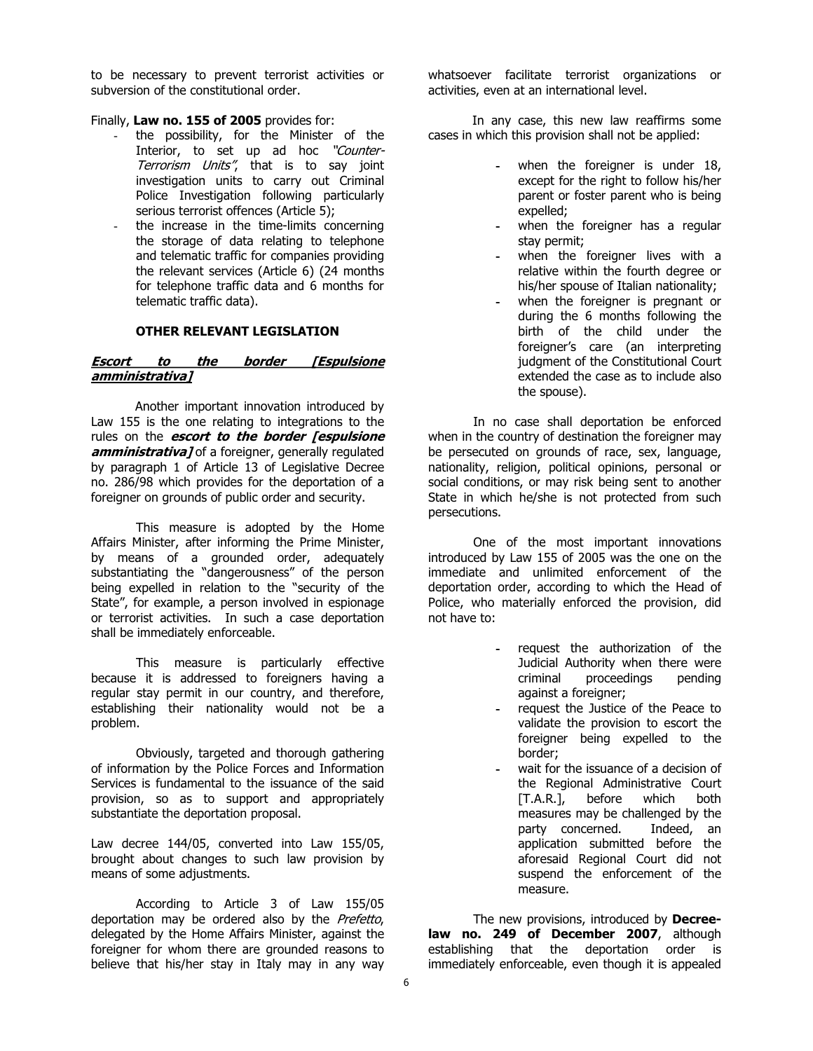to be necessary to prevent terrorist activities or subversion of the constitutional order.

Finally, **Law no. 155 of 2005** provides for:

- the possibility, for the Minister of the L**aw no. 155 of 2005** provides for:<br>the possibility, for the Minister of the<br>Interior, to set up ad hoc "*Counter-*Interior, to set up ad hoc "Counter-<br>Terrorism Units", that is to say joint investigation units to carry out Criminal Police Investigation following particularly serious terrorist offences (Article 5);
- the increase in the time-limits concerning the storage of data relating to telephone and telematic traffic for companies providing the relevant services (Article 6) (24 months for telephone traffic data and 6 months for telematic traffic data).

### **OTHER RELEVANT LEGISLATION**

#### **Escort to the border [Espulsione amministrativa]**

Another important innovation introduced by Law 155 is the one relating to integrations to the rules on the **escort to the border [espulsione amministrativa]** of a foreigner, generally regulated by paragraph 1 of Article 13 of Legislative Decree no. 286/98 which provides for the deportation of a foreigner on grounds of public order and security.

This measure is adopted by the Home Affairs Minister, after informing the Prime Minister, by means of a grounded order, adequately substantiating the "dangerousness" of the person being expelled in relation to the "security of the State", for example, a person involved in espionage or terrorist activities. In such a case deportation shall be immediately enforceable.

This measure is particularly effective because it is addressed to foreigners having a regular stay permit in our country, and therefore, establishing their nationality would not be a problem.<br>Obviously, targeted and thorough gathering

of information by the Police Forces and Information Services is fundamental to the issuance of the said provision, so as to support and appropriately substantiate the deportation proposal.

Law decree 144/05, converted into Law 155/05, brought about changes to such law provision by means of some adjustments.

According to Article 3 of Law 155/05 deportation may be ordered also by the Prefetto, delegated by the Home Affairs Minister, against the foreigner for whom there are grounded reasons to believe that his/her stay in Italy may in any way

whatsoever facilitate terrorist organizations or activities, even at an international level.

In any case, this new law reaffirms some cases in which this provision shall not be applied:

- when the foreigner is under 18, except for the right to follow his/her parent or foster parent who is being expelled;
- **-** when the foreigner has a regular stay permit;
- **-** when the foreigner lives with a relative within the fourth degree or his/her spouse of Italian nationality;
- **-** when the foreigner is pregnant or during the 6 months following the birth of the child under the foreigner's care (an interpreting judgment of the Constitutional Court extended the case as to include also the spouse).

In no case shall deportation be enforced when in the country of destination the foreigner may be persecuted on grounds of race, sex, language, nationality, religion, political opinions, personal or social conditions, or may risk being sent to another State in which he/she is not protected from such persecutions.

One of the most important innovations introduced by Law 155 of 2005 was the one on the immediate and unlimited enforcement of the deportation order, according to which the Head of Police, who materially enforced the provision, did not have to:

- **-** request the authorization of the Judicial Authority when there were criminal proceedings pending against a foreigner;
- **-** request the Justice of the Peace to validate the provision to escort the foreigner being expelled to the border;
- **-** wait for the issuance of a decision of the Regional Administrative Court [T.A.R.], before which both measures may be challenged by the party concerned. Indeed, an application submitted before the aforesaid Regional Court did not suspend the enforcement of the measure.

The new provisions, introduced by **Decree law no. 249 of December 2007**, although establishing that the deportation order is immediately enforceable, even though it is appealed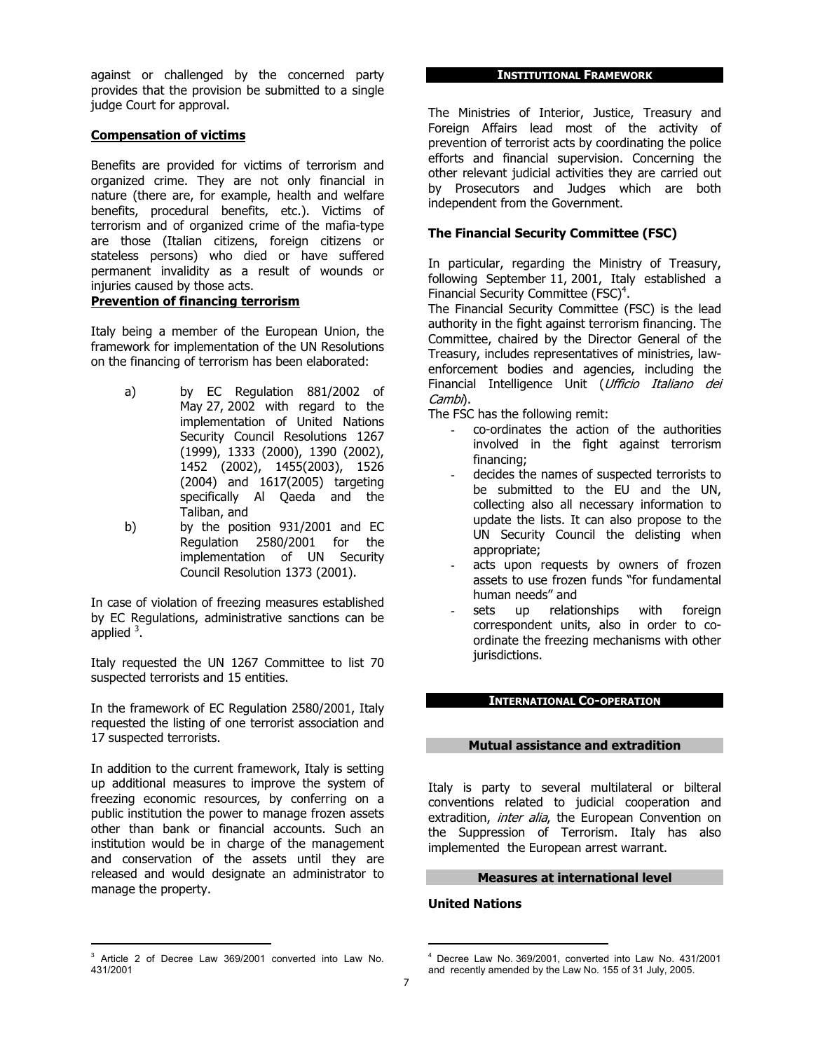against or challenged by the concerned party provides that the provision be submitted to a single judge Court for approval.

## **Compensation of victims**

Benefits are provided for victims of terrorism and organized crime. They are not only financial in nature (there are, for example, health and welfare benefits, procedural benefits, etc.). Victims of terrorism and of organized crime of the mafia-type are those (Italian citizens, foreign citizens or stateless persons) who died or have suffered permanent invalidity as a result of wounds or injuries caused by those acts.

### **Prevention of financing terrorism**

Italy being a member of the European Union, the framework for implementation of the UN Resolutions on the financing of terrorism has been elaborated:

- a) by EC Regulation 881/2002 of May 27, 2002 with regard to the implementation of United Nations Security Council Resolutions 1267 (1999), 1333 (2000), 1390 (2002), 1452 (2002), 1455(2003), 1526 (2004) and 1617(2005) targeting specifically Al Qaeda and the Taliban, and
- b) by the position 931/2001 and EC Regulation 2580/2001 for the implementation of UN Security Council Resolution 1373 (2001).

In case of violation of freezing measures established by EC Regulations, administrative sanctions can be applied  $3$ .

Italy requested the UN 1267 Committee to list 70 suspected terrorists and 15 entities.

In the framework of EC Regulation 2580/2001, Italy requested the listing of one terrorist association and 17 suspected terrorists.

In addition to the current framework, Italy is setting up additional measures to improve the system of freezing economic resources, by conferring on a public institution the power to manage frozen assets other than bank or financial accounts. Such an institution would be in charge of the management and conservation of the assets until they are released and would designate an administrator to manage the property.

#### **INSTITUTIONAL FRAMEWORK**

The Ministries of Interior, Justice, Treasury and Foreign Affairs lead most of the activity of prevention of terrorist acts by coordinating the police efforts and financial supervision. Concerning the other relevant judicial activities they are carried out by Prosecutors and Judges which are both independent from the Government.

# **The Financial Security Committee (FSC)**

In particular, regarding the Ministry of Treasury, following September 11, 2001, Italy established a Financial Security Committee (FSC)<sup>4</sup>.

The Financial Security Committee (FSC) is the lead authority in the fight against terrorism financing. The Committee, chaired by the Director General of the Treasury, includes representatives of ministries, law enforcement bodies and agencies, including the Treasury, includes representatives of ministries, law-<br>enforcement bodies and agencies, including the<br>Financial Intelligence Unit (*Ufficio Italiano dei* Financial Intelligence Unit (*Ufficio Italiano dei*<br>Cambi).

The FSC has the following remit:

- co-ordinates the action of the authorities involved in the fight against terrorism financing;
- decides the names of suspected terrorists to be submitted to the EU and the UN, collecting also all necessary information to update the lists. It can also propose to the UN Security Council the delisting when appropriate;
- acts upon requests by owners of frozen assets to use frozen funds "for fundamental human needs" and
- sets up relationships with foreign correspondent units, also in order to coordinate the freezing mechanisms with other jurisdictions.

### **INTERNATIONAL CO-OPERATION**

### **Mutual assistance and extradition**

Italy is party to several multilateral or bilteral conventions related to judicial cooperation and extradition, *inter alia*, the European Convention on the Suppression of Terrorism. Italy has also implemented the European arrest warrant.

# **Measures at international level**

### **United Nations**

<sup>&</sup>lt;sup>3</sup> Article 2 of Decree Law 369/2001 converted into Law No. 431/2001

Decree Law No. 369/2001, converted into Law No. 431/2001 and recently amended by the Law No. 155 of 31 July, 2005.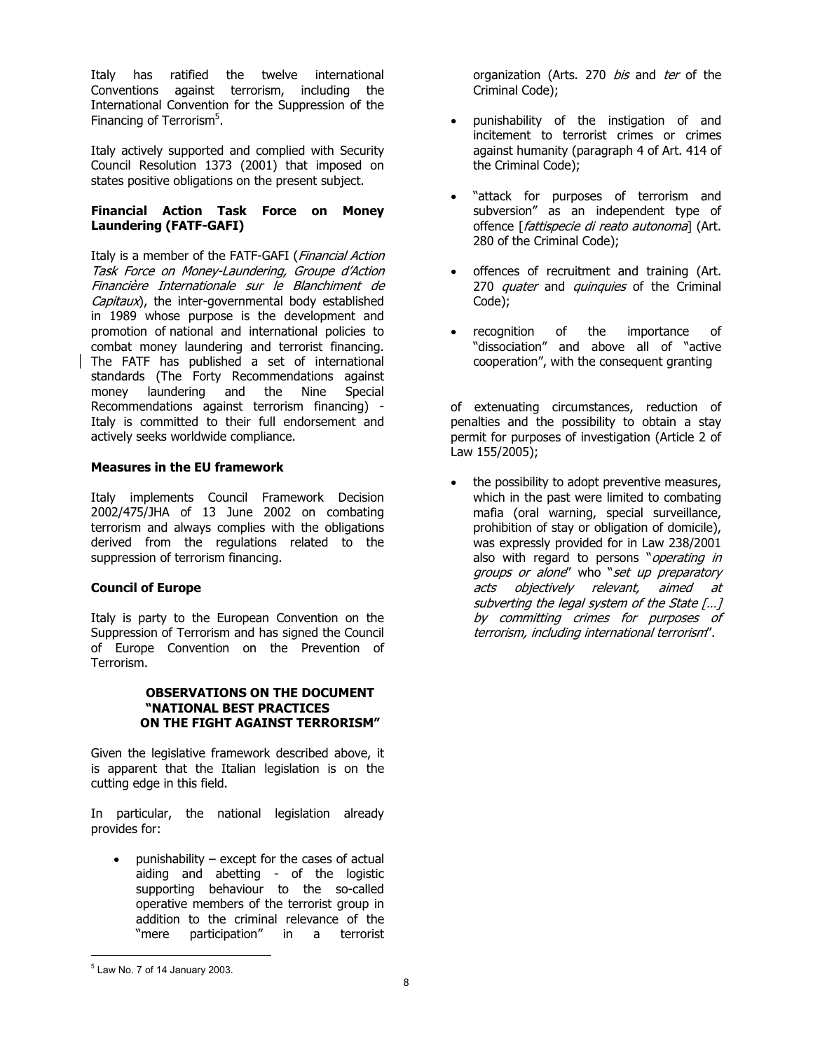Italy has ratified the twelve international Conventions against terrorism, including the International Convention for the Suppression of the Financing of Terrorism<sup>5</sup>.

Italy actively supported and complied with Security Council Resolution 1373 (2001) that imposed on states positive obligations on the present subject.

## **Financial Action Task Force on Money Laundering (FATF-GAFI)**

**Laundering (FATF-GAFI)**<br>Italy is a member of the FATF-GAFI (*Financial Action* Italy is a member of the FATF-GAFI (*Financial Action*<br>*Task Force on Money-Laundering, Groupe d'Action*<br>Financière, Internationale, sur le Blanchiment, de taly is a member of the FATF-GAFI (*Financial Action<br>Task Force on Money-Laundering, Groupe d'Action<br>Financière Internationale sur le Blanchiment de* Task Force on Money-Laundering, Groupe d'Action<br>Financière Internationale sur le Blanchiment de<br>Capitaux), the inter-governmental body established<br>in 1980 whose nurnese is the development and in 1989 whose purpose is the development and promotion of national and international policies to combat money laundering and terrorist financing. The FATF has published a set of international standards (The Forty Recommendations against money laundering and the Nine Special Recommendations against terrorism financing) - Italy is committed to their full endorsement and actively seeks worldwide compliance.

# **Measures in the EU framework**

Italy implements Council Framework Decision 2002/475/JHA of 13 June 2002 on combating terrorism and always complies with the obligations derived from the regulations related to the suppression of terrorism financing.

### **Council of Europe**

Italy is party to the European Convention on the Suppression of Terrorism and has signed the Council of Europe Convention on the Prevention of Terrorism.

#### **OBSERVATIONS ON THE DOCUMENT "NATIONAL BEST PRACTICES ON THE FIGHT AGAINST TERRORISM"**

Given the legislative framework described above, it is apparent that the Italian legislation is on the cutting edge in this field.

In particular, the national legislation already provides for:

• punishability – except for the cases of actual aiding and abetting - of the logistic supporting behaviour to the so-called operative members of the terrorist group in addition to the criminal relevance of the "mere participation" in a terrorist

organization (Arts. 270 bis and ter of the Criminal Code);

- punishability of the instigation of and incitement to terrorist crimes or crimes against humanity (paragraph 4 of Art. 414 of the Criminal Code);
- "attack for purposes of terrorism and subversion" as an independent type of "attack for purposes of terrorism and<br>subversion" as an independent type of<br>offence [*fattispecie di reato autonoma*] (Art.<br>280 of the Criminal Code): 280 of the Criminal Code);
- offences of recruitment and training (Art. 270 *quater* and *quinquies* of the Criminal Code):
- recognition of the importance of "dissociation" and above all of "active cooperation", with the consequent granting

of extenuating circumstances, reduction of penalties and the possibility to obtain a stay permit for purposes of investigation (Article 2 of Law 155/2005);

the possibility to adopt preventive measures, which in the past were limited to combating mafia (oral warning, special surveillance, prohibition of stay or obligation of domicile), was expressly provided for in Law 238/2001 also with regard to persons "operating in was expressly provided for in Law 238/2001<br>also with regard to persons "*operating in<br>groups or alone"* who "*set up preparatory*<br>acts objectively relevant aimed also with regard to persons "*operating in<br>groups or alone*" who "*set up preparatory<br>acts objectively relevant, aimed at<br>subverting the legal system of the State [1]* acts objectively relevant, aimed at<br>subverting the legal system of the State [...] acts objectively relevant, aimed at<br>subverting the legal system of the State [...]<br>by committing crimes for purposes of<br>terreriem including\_international\_terreriem" subverting the legal system of the State [...]<br>by committing crimes for purposes of<br>terrorism, including international terrorism".

 $<sup>5</sup>$  Law No. 7 of 14 January 2003.</sup>